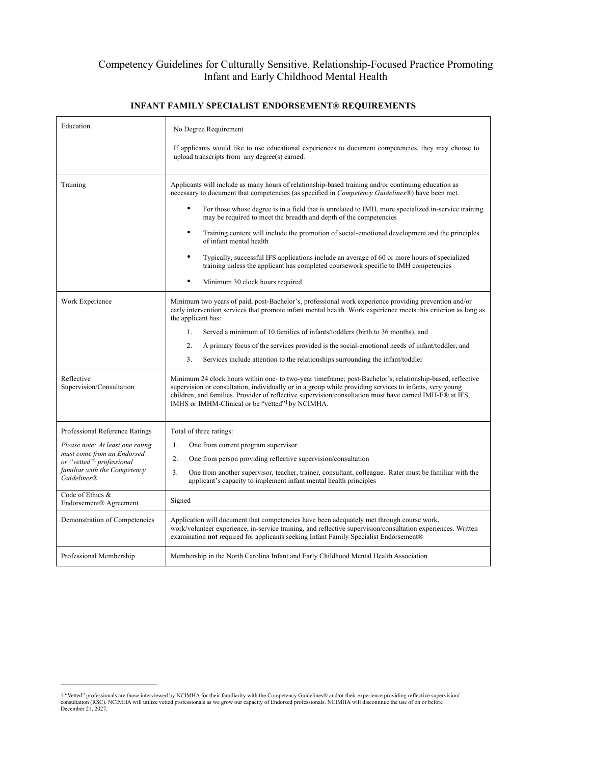## Competency Guidelines for Culturally Sensitive, Relationship-Focused Practice Promoting Infant and Early Childhood Mental Health

| Education                                                                                                                                                                                                                                     | No Degree Requirement<br>If applicants would like to use educational experiences to document competencies, they may choose to<br>upload transcripts from any degree(s) earned.                                                                                                                                                                                                                                                                                                                                                                                                                                                                                                                                                                                |
|-----------------------------------------------------------------------------------------------------------------------------------------------------------------------------------------------------------------------------------------------|---------------------------------------------------------------------------------------------------------------------------------------------------------------------------------------------------------------------------------------------------------------------------------------------------------------------------------------------------------------------------------------------------------------------------------------------------------------------------------------------------------------------------------------------------------------------------------------------------------------------------------------------------------------------------------------------------------------------------------------------------------------|
| Training                                                                                                                                                                                                                                      | Applicants will include as many hours of relationship-based training and/or continuing education as<br>necessary to document that competencies (as specified in <i>Competency Guidelines</i> <sup>®</sup> ) have been met.<br>For those whose degree is in a field that is unrelated to IMH, more specialized in-service training<br>may be required to meet the breadth and depth of the competencies<br>Training content will include the promotion of social-emotional development and the principles<br>of infant mental health<br>Typically, successful IFS applications include an average of 60 or more hours of specialized<br>training unless the applicant has completed coursework specific to IMH competencies<br>Minimum 30 clock hours required |
| Work Experience                                                                                                                                                                                                                               | Minimum two years of paid, post-Bachelor's, professional work experience providing prevention and/or<br>early intervention services that promote infant mental health. Work experience meets this criterion as long as<br>the applicant has:<br>$1_{-}$<br>Served a minimum of 10 families of infants/toddlers (birth to 36 months), and<br>$\overline{2}$ .<br>A primary focus of the services provided is the social-emotional needs of infant/toddler, and<br>3.<br>Services include attention to the relationships surrounding the infant/toddler                                                                                                                                                                                                         |
| Reflective<br>Supervision/Consultation                                                                                                                                                                                                        | Minimum 24 clock hours within one- to two-year timeframe; post-Bachelor's, relationship-based, reflective<br>supervision or consultation, individually or in a group while providing services to infants, very young<br>children, and families. Provider of reflective supervision/consultation must have earned IMH-E® at IFS,<br>IMHS or IMHM-Clinical or be "vetted" <sup>1</sup> by NCIMHA.                                                                                                                                                                                                                                                                                                                                                               |
| Professional Reference Ratings<br>Please note: At least one rating<br>must come from an Endorsed<br>or "vetted" <sup>1</sup> professional<br>familiar with the Competency<br><b>Guidelines®</b><br>Code of Ethics &<br>Endorsement® Agreement | Total of three ratings:<br>One from current program supervisor<br>1.<br>$\overline{2}$ .<br>One from person providing reflective supervision/consultation<br>3 <sub>1</sub><br>One from another supervisor, teacher, trainer, consultant, colleague. Rater must be familiar with the<br>applicant's capacity to implement infant mental health principles<br>Signed                                                                                                                                                                                                                                                                                                                                                                                           |
| Demonstration of Competencies                                                                                                                                                                                                                 | Application will document that competencies have been adequately met through course work,<br>work/volunteer experience, in-service training, and reflective supervision/consultation experiences. Written<br>examination not required for applicants seeking Infant Family Specialist Endorsement®                                                                                                                                                                                                                                                                                                                                                                                                                                                            |
| Professional Membership                                                                                                                                                                                                                       | Membership in the North Carolina Infant and Early Childhood Mental Health Association                                                                                                                                                                                                                                                                                                                                                                                                                                                                                                                                                                                                                                                                         |

## **INFANT FAMILY SPECIALIST ENDORSEMENT® REQUIREMENTS**

<sup>1 &</sup>quot;Vetted" professionals are those interviewed by NCIMHA for their familiarity with the Competency Guidelines® and/or their experience providing reflective supervision/<br>consultation (RSC). NCIMHA will utilize vetted profes